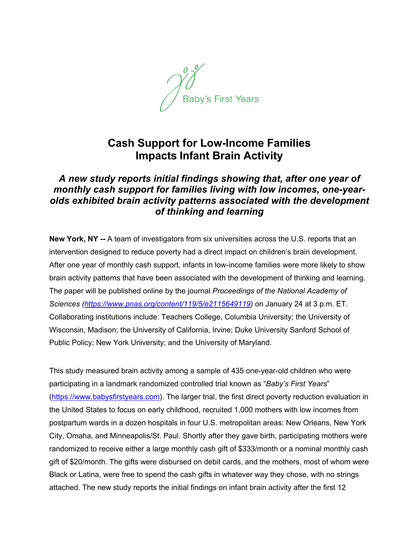

## **Cash Support for Low-Income Families Impacts Infant Brain Activity**

## *A new study reports initial findings showing that, after one year of monthly cash support for families living with low incomes, one-yearolds exhibited brain activity patterns associated with the development of thinking and learning*

**New York, NY --** A team of investigators from six universities across the U.S. reports that an intervention designed to reduce poverty had a direct impact on children's brain development. After one year of monthly cash support, infants in low-income families were more likely to show brain activity patterns that have been associated with the development of thinking and learning. The paper will be published online by the journal *Proceedings of the National Academy of Sciences (https://www.pnas.org/content/119/5/e2115649119)* on January 24 at 3 p.m. ET. Collaborating institutions include: Teachers College, Columbia University; the University of Wisconsin, Madison; the University of California, Irvine; Duke University Sanford School of Public Policy; New York University; and the University of Maryland.

This study measured brain activity among a sample of 435 one-year-old children who were participating in a landmark randomized controlled trial known as "*Baby's First Years*" (https://www.babysfirstyears.com). The larger trial, the first direct poverty reduction evaluation in the United States to focus on early childhood, recruited 1,000 mothers with low incomes from postpartum wards in a dozen hospitals in four U.S. metropolitan areas: New Orleans, New York City, Omaha, and Minneapolis/St. Paul. Shortly after they gave birth, participating mothers were randomized to receive either a large monthly cash gift of \$333/month or a nominal monthly cash gift of \$20/month. The gifts were disbursed on debit cards, and the mothers, most of whom were Black or Latina, were free to spend the cash gifts in whatever way they chose, with no strings attached. The new study reports the initial findings on infant brain activity after the first 12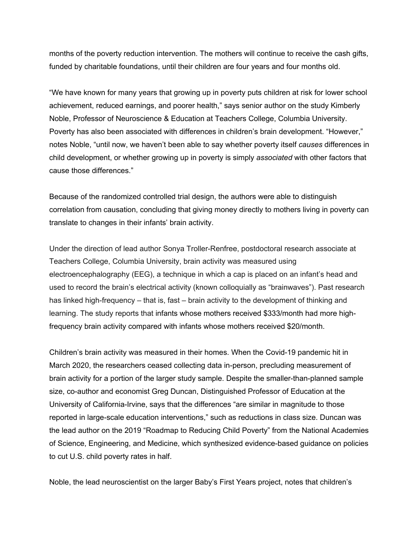months of the poverty reduction intervention. The mothers will continue to receive the cash gifts, funded by charitable foundations, until their children are four years and four months old.

"We have known for many years that growing up in poverty puts children at risk for lower school achievement, reduced earnings, and poorer health," says senior author on the study Kimberly Noble, Professor of Neuroscience & Education at Teachers College, Columbia University. Poverty has also been associated with differences in children's brain development. "However," notes Noble, "until now, we haven't been able to say whether poverty itself *causes* differences in child development, or whether growing up in poverty is simply *associated* with other factors that cause those differences."

Because of the randomized controlled trial design, the authors were able to distinguish correlation from causation, concluding that giving money directly to mothers living in poverty can translate to changes in their infants' brain activity.

Under the direction of lead author Sonya Troller-Renfree, postdoctoral research associate at Teachers College, Columbia University, brain activity was measured using electroencephalography (EEG), a technique in which a cap is placed on an infant's head and used to record the brain's electrical activity (known colloquially as "brainwaves"). Past research has linked high-frequency – that is, fast – brain activity to the development of thinking and learning. The study reports that infants whose mothers received \$333/month had more highfrequency brain activity compared with infants whose mothers received \$20/month.

Children's brain activity was measured in their homes. When the Covid-19 pandemic hit in March 2020, the researchers ceased collecting data in-person, precluding measurement of brain activity for a portion of the larger study sample. Despite the smaller-than-planned sample size, co-author and economist Greg Duncan, Distinguished Professor of Education at the University of California-Irvine, says that the differences "are similar in magnitude to those reported in large-scale education interventions," such as reductions in class size. Duncan was the lead author on the 2019 "Roadmap to Reducing Child Poverty" from the National Academies of Science, Engineering, and Medicine, which synthesized evidence-based guidance on policies to cut U.S. child poverty rates in half.

Noble, the lead neuroscientist on the larger Baby's First Years project, notes that children's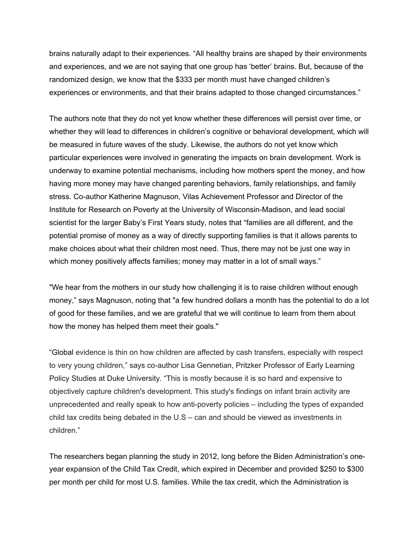brains naturally adapt to their experiences. "All healthy brains are shaped by their environments and experiences, and we are not saying that one group has 'better' brains. But, because of the randomized design, we know that the \$333 per month must have changed children's experiences or environments, and that their brains adapted to those changed circumstances."

The authors note that they do not yet know whether these differences will persist over time, or whether they will lead to differences in children's cognitive or behavioral development, which will be measured in future waves of the study. Likewise, the authors do not yet know which particular experiences were involved in generating the impacts on brain development. Work is underway to examine potential mechanisms, including how mothers spent the money, and how having more money may have changed parenting behaviors, family relationships, and family stress. Co-author Katherine Magnuson, Vilas Achievement Professor and Director of the Institute for Research on Poverty at the University of Wisconsin-Madison, and lead social scientist for the larger Baby's First Years study, notes that "families are all different, and the potential promise of money as a way of directly supporting families is that it allows parents to make choices about what their children most need. Thus, there may not be just one way in which money positively affects families; money may matter in a lot of small ways."

"We hear from the mothers in our study how challenging it is to raise children without enough money," says Magnuson, noting that "a few hundred dollars a month has the potential to do a lot of good for these families, and we are grateful that we will continue to learn from them about how the money has helped them meet their goals."

"Global evidence is thin on how children are affected by cash transfers, especially with respect to very young children," says co-author Lisa Gennetian, Pritzker Professor of Early Learning Policy Studies at Duke University. "This is mostly because it is so hard and expensive to objectively capture children's development. This study's findings on infant brain activity are unprecedented and really speak to how anti-poverty policies – including the types of expanded child tax credits being debated in the U.S – can and should be viewed as investments in children."

The researchers began planning the study in 2012, long before the Biden Administration's oneyear expansion of the Child Tax Credit, which expired in December and provided \$250 to \$300 per month per child for most U.S. families. While the tax credit, which the Administration is